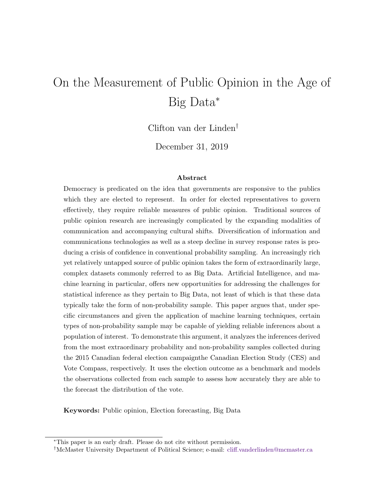# On the Measurement of Public Opinion in the Age of Big Data<sup>∗</sup>

Clifton van der Linden†

December 31, 2019

#### Abstract

Democracy is predicated on the idea that governments are responsive to the publics which they are elected to represent. In order for elected representatives to govern effectively, they require reliable measures of public opinion. Traditional sources of public opinion research are increasingly complicated by the expanding modalities of communication and accompanying cultural shifts. Diversification of information and communications technologies as well as a steep decline in survey response rates is producing a crisis of confidence in conventional probability sampling. An increasingly rich yet relatively untapped source of public opinion takes the form of extraordinarily large, complex datasets commonly referred to as Big Data. Artificial Intelligence, and machine learning in particular, offers new opportunities for addressing the challenges for statistical inference as they pertain to Big Data, not least of which is that these data typically take the form of non-probability sample. This paper argues that, under specific circumstances and given the application of machine learning techniques, certain types of non-probability sample may be capable of yielding reliable inferences about a population of interest. To demonstrate this argument, it analyzes the inferences derived from the most extraordinary probability and non-probability samples collected during the 2015 Canadian federal election campaignthe Canadian Election Study (CES) and Vote Compass, respectively. It uses the election outcome as a benchmark and models the observations collected from each sample to assess how accurately they are able to the forecast the distribution of the vote.

Keywords: Public opinion, Election forecasting, Big Data

<sup>∗</sup>This paper is an early draft. Please do not cite without permission.

<sup>†</sup>McMaster University Department of Political Science; e-mail: [cliff.vanderlinden@mcmaster.ca](mailto:cliff.vanderlinden@mcmaster.ca)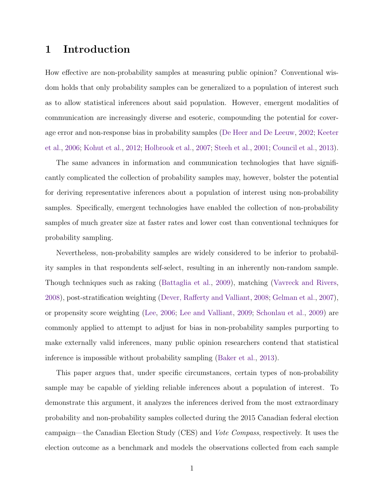# 1 Introduction

How effective are non-probability samples at measuring public opinion? Conventional wisdom holds that only probability samples can be generalized to a population of interest such as to allow statistical inferences about said population. However, emergent modalities of communication are increasingly diverse and esoteric, compounding the potential for coverage error and non-response bias in probability samples [\(De Heer and De Leeuw,](#page-18-0) [2002;](#page-18-0) [Keeter](#page-19-0) [et al.,](#page-19-0) [2006;](#page-19-0) [Kohut et al.,](#page-19-1) [2012;](#page-19-1) [Holbrook et al.,](#page-19-2) [2007;](#page-19-2) [Steeh et al.,](#page-19-3) [2001;](#page-19-3) [Council et al.,](#page-18-1) [2013\)](#page-18-1).

The same advances in information and communication technologies that have significantly complicated the collection of probability samples may, however, bolster the potential for deriving representative inferences about a population of interest using non-probability samples. Specifically, emergent technologies have enabled the collection of non-probability samples of much greater size at faster rates and lower cost than conventional techniques for probability sampling.

Nevertheless, non-probability samples are widely considered to be inferior to probability samples in that respondents self-select, resulting in an inherently non-random sample. Though techniques such as raking [\(Battaglia et al.,](#page-18-2) [2009\)](#page-18-2), matching [\(Vavreck and Rivers,](#page-20-0) [2008\)](#page-20-0), post-stratification weighting [\(Dever, Rafferty and Valliant,](#page-18-3) [2008;](#page-18-3) [Gelman et al.,](#page-19-4) [2007\)](#page-19-4), or propensity score weighting [\(Lee,](#page-19-5) [2006;](#page-19-5) [Lee and Valliant,](#page-19-6) [2009;](#page-19-6) [Schonlau et al.,](#page-19-7) [2009\)](#page-19-7) are commonly applied to attempt to adjust for bias in non-probability samples purporting to make externally valid inferences, many public opinion researchers contend that statistical inference is impossible without probability sampling [\(Baker et al.,](#page-18-4) [2013\)](#page-18-4).

This paper argues that, under specific circumstances, certain types of non-probability sample may be capable of yielding reliable inferences about a population of interest. To demonstrate this argument, it analyzes the inferences derived from the most extraordinary probability and non-probability samples collected during the 2015 Canadian federal election campaign—the Canadian Election Study (CES) and Vote Compass, respectively. It uses the election outcome as a benchmark and models the observations collected from each sample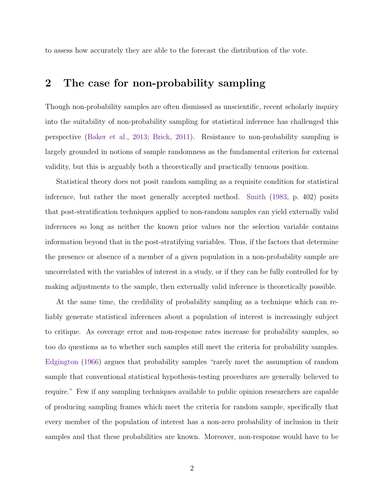to assess how accurately they are able to the forecast the distribution of the vote.

## 2 The case for non-probability sampling

Though non-probability samples are often dismissed as unscientific, recent scholarly inquiry into the suitability of non-probability sampling for statistical inference has challenged this perspective [\(Baker et al.,](#page-18-4) [2013;](#page-18-4) [Brick,](#page-18-5) [2011\)](#page-18-5). Resistance to non-probability sampling is largely grounded in notions of sample randomness as the fundamental criterion for external validity, but this is arguably both a theoretically and practically tenuous position.

Statistical theory does not posit random sampling as a requisite condition for statistical inference, but rather the most generally accepted method. [Smith](#page-19-8) [\(1983,](#page-19-8) p. 402) posits that post-stratification techniques applied to non-random samples can yield externally valid inferences so long as neither the known prior values nor the selection variable contains information beyond that in the post-stratifying variables. Thus, if the factors that determine the presence or absence of a member of a given population in a non-probability sample are uncorrelated with the variables of interest in a study, or if they can be fully controlled for by making adjustments to the sample, then externally valid inference is theoretically possible.

At the same time, the credibility of probability sampling as a technique which can reliably generate statistical inferences about a population of interest is increasingly subject to critique. As coverage error and non-response rates increase for probability samples, so too do questions as to whether such samples still meet the criteria for probability samples. [Edgington](#page-18-6) [\(1966\)](#page-18-6) argues that probability samples "rarely meet the assumption of random sample that conventional statistical hypothesis-testing procedures are generally believed to require." Few if any sampling techniques available to public opinion researchers are capable of producing sampling frames which meet the criteria for random sample, specifically that every member of the population of interest has a non-zero probability of inclusion in their samples and that these probabilities are known. Moreover, non-response would have to be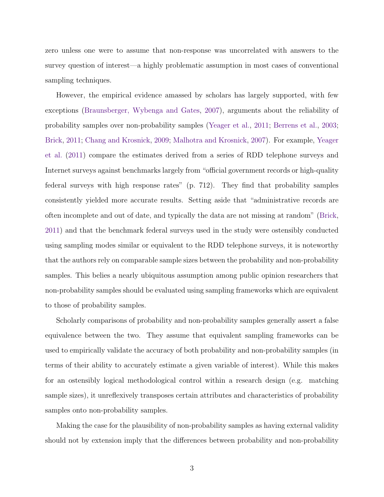zero unless one were to assume that non-response was uncorrelated with answers to the survey question of interest—a highly problematic assumption in most cases of conventional sampling techniques.

However, the empirical evidence amassed by scholars has largely supported, with few exceptions [\(Braunsberger, Wybenga and Gates,](#page-18-7) [2007\)](#page-18-7), arguments about the reliability of probability samples over non-probability samples [\(Yeager et al.,](#page-20-1) [2011;](#page-20-1) [Berrens et al.,](#page-18-8) [2003;](#page-18-8) [Brick,](#page-18-5) [2011;](#page-18-5) [Chang and Krosnick,](#page-18-9) [2009;](#page-18-9) [Malhotra and Krosnick,](#page-19-9) [2007\)](#page-19-9). For example, [Yeager](#page-20-1) [et al.](#page-20-1) [\(2011\)](#page-20-1) compare the estimates derived from a series of RDD telephone surveys and Internet surveys against benchmarks largely from "official government records or high-quality federal surveys with high response rates" (p. 712). They find that probability samples consistently yielded more accurate results. Setting aside that "administrative records are often incomplete and out of date, and typically the data are not missing at random" [\(Brick,](#page-18-5) [2011\)](#page-18-5) and that the benchmark federal surveys used in the study were ostensibly conducted using sampling modes similar or equivalent to the RDD telephone surveys, it is noteworthy that the authors rely on comparable sample sizes between the probability and non-probability samples. This belies a nearly ubiquitous assumption among public opinion researchers that non-probability samples should be evaluated using sampling frameworks which are equivalent to those of probability samples.

Scholarly comparisons of probability and non-probability samples generally assert a false equivalence between the two. They assume that equivalent sampling frameworks can be used to empirically validate the accuracy of both probability and non-probability samples (in terms of their ability to accurately estimate a given variable of interest). While this makes for an ostensibly logical methodological control within a research design (e.g. matching sample sizes), it unreflexively transposes certain attributes and characteristics of probability samples onto non-probability samples.

Making the case for the plausibility of non-probability samples as having external validity should not by extension imply that the differences between probability and non-probability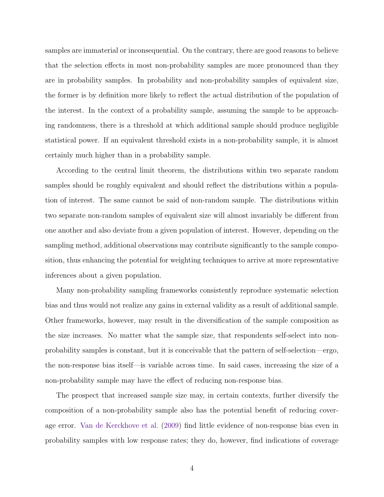samples are immaterial or inconsequential. On the contrary, there are good reasons to believe that the selection effects in most non-probability samples are more pronounced than they are in probability samples. In probability and non-probability samples of equivalent size, the former is by definition more likely to reflect the actual distribution of the population of the interest. In the context of a probability sample, assuming the sample to be approaching randomness, there is a threshold at which additional sample should produce negligible statistical power. If an equivalent threshold exists in a non-probability sample, it is almost certainly much higher than in a probability sample.

According to the central limit theorem, the distributions within two separate random samples should be roughly equivalent and should reflect the distributions within a population of interest. The same cannot be said of non-random sample. The distributions within two separate non-random samples of equivalent size will almost invariably be different from one another and also deviate from a given population of interest. However, depending on the sampling method, additional observations may contribute significantly to the sample composition, thus enhancing the potential for weighting techniques to arrive at more representative inferences about a given population.

Many non-probability sampling frameworks consistently reproduce systematic selection bias and thus would not realize any gains in external validity as a result of additional sample. Other frameworks, however, may result in the diversification of the sample composition as the size increases. No matter what the sample size, that respondents self-select into nonprobability samples is constant, but it is conceivable that the pattern of self-selection—ergo, the non-response bias itself—is variable across time. In said cases, increasing the size of a non-probability sample may have the effect of reducing non-response bias.

The prospect that increased sample size may, in certain contexts, further diversify the composition of a non-probability sample also has the potential benefit of reducing coverage error. [Van de Kerckhove et al.](#page-19-10) [\(2009\)](#page-19-10) find little evidence of non-response bias even in probability samples with low response rates; they do, however, find indications of coverage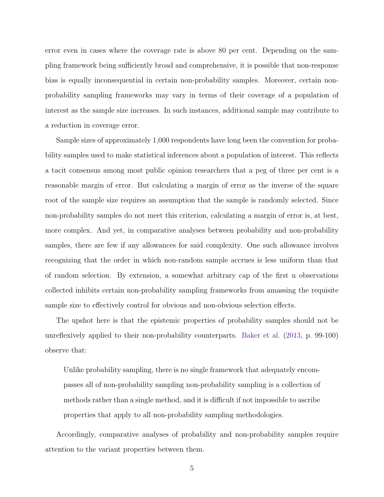error even in cases where the coverage rate is above 80 per cent. Depending on the sampling framework being sufficiently broad and comprehensive, it is possible that non-response bias is equally inconsequential in certain non-probability samples. Moreover, certain nonprobability sampling frameworks may vary in terms of their coverage of a population of interest as the sample size increases. In such instances, additional sample may contribute to a reduction in coverage error.

Sample sizes of approximately 1,000 respondents have long been the convention for probability samples used to make statistical inferences about a population of interest. This reflects a tacit consensus among most public opinion researchers that a peg of three per cent is a reasonable margin of error. But calculating a margin of error as the inverse of the square root of the sample size requires an assumption that the sample is randomly selected. Since non-probability samples do not meet this criterion, calculating a margin of error is, at best, more complex. And yet, in comparative analyses between probability and non-probability samples, there are few if any allowances for said complexity. One such allowance involves recognizing that the order in which non-random sample accrues is less uniform than that of random selection. By extension, a somewhat arbitrary cap of the first n observations collected inhibits certain non-probability sampling frameworks from amassing the requisite sample size to effectively control for obvious and non-obvious selection effects.

The upshot here is that the epistemic properties of probability samples should not be unreflexively applied to their non-probability counterparts. [Baker et al.](#page-18-4) [\(2013,](#page-18-4) p. 99-100) observe that:

Unlike probability sampling, there is no single framework that adequately encompasses all of non-probability sampling non-probability sampling is a collection of methods rather than a single method, and it is difficult if not impossible to ascribe properties that apply to all non-probability sampling methodologies.

Accordingly, comparative analyses of probability and non-probability samples require attention to the variant properties between them.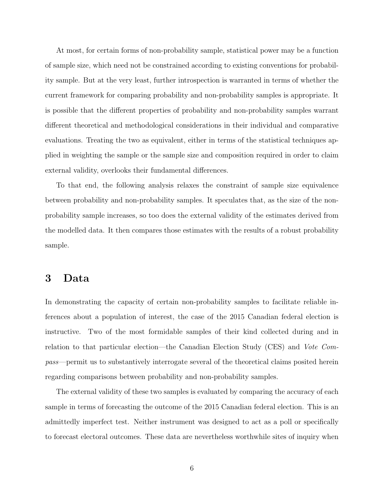At most, for certain forms of non-probability sample, statistical power may be a function of sample size, which need not be constrained according to existing conventions for probability sample. But at the very least, further introspection is warranted in terms of whether the current framework for comparing probability and non-probability samples is appropriate. It is possible that the different properties of probability and non-probability samples warrant different theoretical and methodological considerations in their individual and comparative evaluations. Treating the two as equivalent, either in terms of the statistical techniques applied in weighting the sample or the sample size and composition required in order to claim external validity, overlooks their fundamental differences.

To that end, the following analysis relaxes the constraint of sample size equivalence between probability and non-probability samples. It speculates that, as the size of the nonprobability sample increases, so too does the external validity of the estimates derived from the modelled data. It then compares those estimates with the results of a robust probability sample.

### 3 Data

In demonstrating the capacity of certain non-probability samples to facilitate reliable inferences about a population of interest, the case of the 2015 Canadian federal election is instructive. Two of the most formidable samples of their kind collected during and in relation to that particular election—the Canadian Election Study (CES) and Vote Compass—permit us to substantively interrogate several of the theoretical claims posited herein regarding comparisons between probability and non-probability samples.

The external validity of these two samples is evaluated by comparing the accuracy of each sample in terms of forecasting the outcome of the 2015 Canadian federal election. This is an admittedly imperfect test. Neither instrument was designed to act as a poll or specifically to forecast electoral outcomes. These data are nevertheless worthwhile sites of inquiry when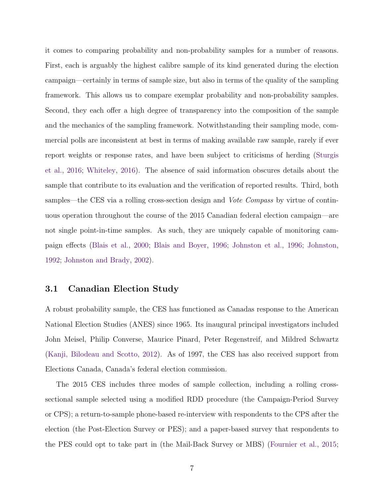it comes to comparing probability and non-probability samples for a number of reasons. First, each is arguably the highest calibre sample of its kind generated during the election campaign—certainly in terms of sample size, but also in terms of the quality of the sampling framework. This allows us to compare exemplar probability and non-probability samples. Second, they each offer a high degree of transparency into the composition of the sample and the mechanics of the sampling framework. Notwithstanding their sampling mode, commercial polls are inconsistent at best in terms of making available raw sample, rarely if ever report weights or response rates, and have been subject to criticisms of herding [\(Sturgis](#page-19-11) [et al.,](#page-19-11) [2016;](#page-19-11) [Whiteley,](#page-20-2) [2016\)](#page-20-2). The absence of said information obscures details about the sample that contribute to its evaluation and the verification of reported results. Third, both samples—the CES via a rolling cross-section design and *Vote Compass* by virtue of continuous operation throughout the course of the 2015 Canadian federal election campaign—are not single point-in-time samples. As such, they are uniquely capable of monitoring campaign effects [\(Blais et al.,](#page-18-10) [2000;](#page-18-10) [Blais and Boyer,](#page-18-11) [1996;](#page-18-11) [Johnston et al.,](#page-19-12) [1996;](#page-19-12) [Johnston,](#page-19-13) [1992;](#page-19-13) [Johnston and Brady,](#page-19-14) [2002\)](#page-19-14).

#### 3.1 Canadian Election Study

A robust probability sample, the CES has functioned as Canadas response to the American National Election Studies (ANES) since 1965. Its inaugural principal investigators included John Meisel, Philip Converse, Maurice Pinard, Peter Regenstreif, and Mildred Schwartz [\(Kanji, Bilodeau and Scotto,](#page-19-15) [2012\)](#page-19-15). As of 1997, the CES has also received support from Elections Canada, Canada's federal election commission.

The 2015 CES includes three modes of sample collection, including a rolling crosssectional sample selected using a modified RDD procedure (the Campaign-Period Survey or CPS); a return-to-sample phone-based re-interview with respondents to the CPS after the election (the Post-Election Survey or PES); and a paper-based survey that respondents to the PES could opt to take part in (the Mail-Back Survey or MBS) [\(Fournier et al.,](#page-18-12) [2015;](#page-18-12)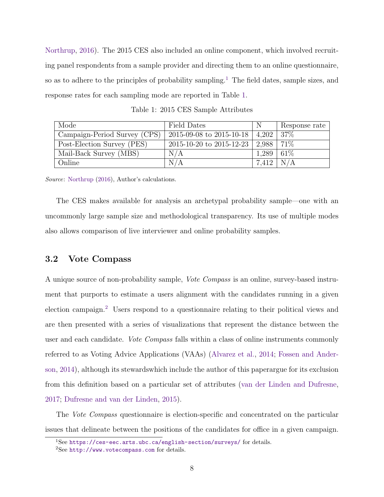[Northrup,](#page-19-16) [2016\)](#page-19-16). The 2015 CES also included an online component, which involved recruiting panel respondents from a sample provider and directing them to an online questionnaire, so as to adhere to the principles of probability sampling.<sup>[1](#page-8-0)</sup> The field dates, sample sizes, and response rates for each sampling mode are reported in Table [1.](#page-8-1)

<span id="page-8-1"></span>

| Mode                         | Field Dates              | N     | Response rate |
|------------------------------|--------------------------|-------|---------------|
| Campaign-Period Survey (CPS) | 2015-09-08 to 2015-10-18 | 4.202 | 37\%          |
| Post-Election Survey (PES)   | 2015-10-20 to 2015-12-23 | 2.988 | 71\%          |
| Mail-Back Survey (MBS)       | N/A                      | 1,289 | 61\%          |
| Online                       | N/A                      | 7.412 | N/A           |

Source: [Northrup](#page-19-16) [\(2016\)](#page-19-16), Author's calculations.

The CES makes available for analysis an archetypal probability sample—one with an uncommonly large sample size and methodological transparency. Its use of multiple modes also allows comparison of live interviewer and online probability samples.

#### 3.2 Vote Compass

A unique source of non-probability sample, Vote Compass is an online, survey-based instrument that purports to estimate a users alignment with the candidates running in a given election campaign.[2](#page-8-2) Users respond to a questionnaire relating to their political views and are then presented with a series of visualizations that represent the distance between the user and each candidate. Vote Compass falls within a class of online instruments commonly referred to as Voting Advice Applications (VAAs) [\(Alvarez et al.,](#page-18-13) [2014;](#page-18-13) [Fossen and Ander](#page-18-14)[son,](#page-18-14) [2014\)](#page-18-14), although its stewardswhich include the author of this paperargue for its exclusion from this definition based on a particular set of attributes [\(van der Linden and Dufresne,](#page-20-3) [2017;](#page-20-3) [Dufresne and van der Linden,](#page-18-15) [2015\)](#page-18-15).

The *Vote Compass* questionnaire is election-specific and concentrated on the particular issues that delineate between the positions of the candidates for office in a given campaign.

<span id="page-8-0"></span><sup>&</sup>lt;sup>1</sup>See <https://ces-eec.arts.ubc.ca/english-section/surveys/> for details.

<span id="page-8-2"></span> $2$ See <http://www.votecompass.com> for details.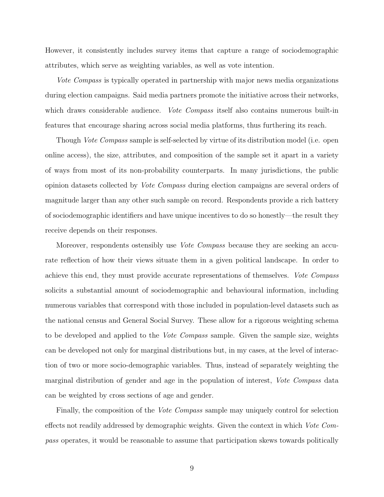However, it consistently includes survey items that capture a range of sociodemographic attributes, which serve as weighting variables, as well as vote intention.

Vote Compass is typically operated in partnership with major news media organizations during election campaigns. Said media partners promote the initiative across their networks, which draws considerable audience. Vote Compass itself also contains numerous built-in features that encourage sharing across social media platforms, thus furthering its reach.

Though *Vote Compass* sample is self-selected by virtue of its distribution model (i.e. open online access), the size, attributes, and composition of the sample set it apart in a variety of ways from most of its non-probability counterparts. In many jurisdictions, the public opinion datasets collected by Vote Compass during election campaigns are several orders of magnitude larger than any other such sample on record. Respondents provide a rich battery of sociodemographic identifiers and have unique incentives to do so honestly—the result they receive depends on their responses.

Moreover, respondents ostensibly use *Vote Compass* because they are seeking an accurate reflection of how their views situate them in a given political landscape. In order to achieve this end, they must provide accurate representations of themselves. Vote Compass solicits a substantial amount of sociodemographic and behavioural information, including numerous variables that correspond with those included in population-level datasets such as the national census and General Social Survey. These allow for a rigorous weighting schema to be developed and applied to the *Vote Compass* sample. Given the sample size, weights can be developed not only for marginal distributions but, in my cases, at the level of interaction of two or more socio-demographic variables. Thus, instead of separately weighting the marginal distribution of gender and age in the population of interest, Vote Compass data can be weighted by cross sections of age and gender.

Finally, the composition of the *Vote Compass* sample may uniquely control for selection effects not readily addressed by demographic weights. Given the context in which Vote Compass operates, it would be reasonable to assume that participation skews towards politically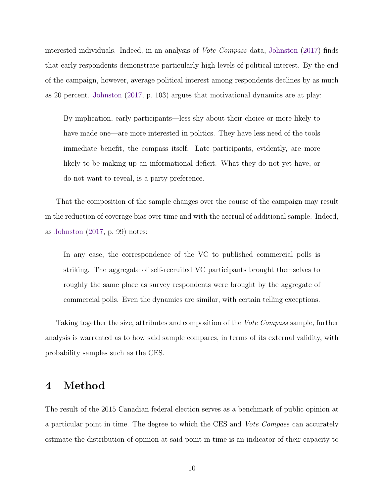interested individuals. Indeed, in an analysis of Vote Compass data, [Johnston](#page-19-17) [\(2017\)](#page-19-17) finds that early respondents demonstrate particularly high levels of political interest. By the end of the campaign, however, average political interest among respondents declines by as much as 20 percent. [Johnston](#page-19-17) [\(2017,](#page-19-17) p. 103) argues that motivational dynamics are at play:

By implication, early participants—less shy about their choice or more likely to have made one—are more interested in politics. They have less need of the tools immediate benefit, the compass itself. Late participants, evidently, are more likely to be making up an informational deficit. What they do not yet have, or do not want to reveal, is a party preference.

That the composition of the sample changes over the course of the campaign may result in the reduction of coverage bias over time and with the accrual of additional sample. Indeed, as [Johnston](#page-19-17) [\(2017,](#page-19-17) p. 99) notes:

In any case, the correspondence of the VC to published commercial polls is striking. The aggregate of self-recruited VC participants brought themselves to roughly the same place as survey respondents were brought by the aggregate of commercial polls. Even the dynamics are similar, with certain telling exceptions.

Taking together the size, attributes and composition of the Vote Compass sample, further analysis is warranted as to how said sample compares, in terms of its external validity, with probability samples such as the CES.

# 4 Method

The result of the 2015 Canadian federal election serves as a benchmark of public opinion at a particular point in time. The degree to which the CES and Vote Compass can accurately estimate the distribution of opinion at said point in time is an indicator of their capacity to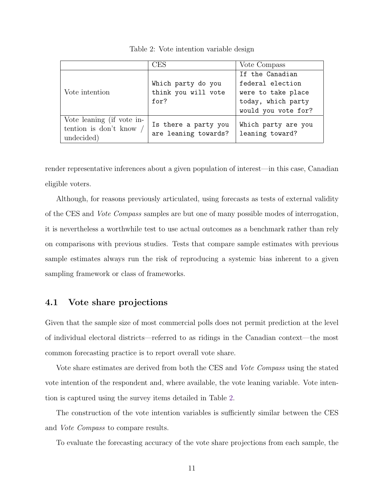<span id="page-11-0"></span>

|                           | CES                  | Vote Compass        |
|---------------------------|----------------------|---------------------|
|                           |                      | If the Canadian     |
| Vote intention            | Which party do you   | federal election    |
|                           | think you will vote  | were to take place  |
|                           | for?                 | today, which party  |
|                           |                      | would you vote for? |
| Vote leaning (if vote in- |                      |                     |
| tention is don't know     | Is there a party you | Which party are you |
| undecided)                | are leaning towards? | leaning toward?     |
|                           |                      |                     |

Table 2: Vote intention variable design

render representative inferences about a given population of interest—in this case, Canadian eligible voters.

Although, for reasons previously articulated, using forecasts as tests of external validity of the CES and Vote Compass samples are but one of many possible modes of interrogation, it is nevertheless a worthwhile test to use actual outcomes as a benchmark rather than rely on comparisons with previous studies. Tests that compare sample estimates with previous sample estimates always run the risk of reproducing a systemic bias inherent to a given sampling framework or class of frameworks.

#### 4.1 Vote share projections

Given that the sample size of most commercial polls does not permit prediction at the level of individual electoral districts—referred to as ridings in the Canadian context—the most common forecasting practice is to report overall vote share.

Vote share estimates are derived from both the CES and *Vote Compass* using the stated vote intention of the respondent and, where available, the vote leaning variable. Vote intention is captured using the survey items detailed in Table [2.](#page-11-0)

The construction of the vote intention variables is sufficiently similar between the CES and Vote Compass to compare results.

To evaluate the forecasting accuracy of the vote share projections from each sample, the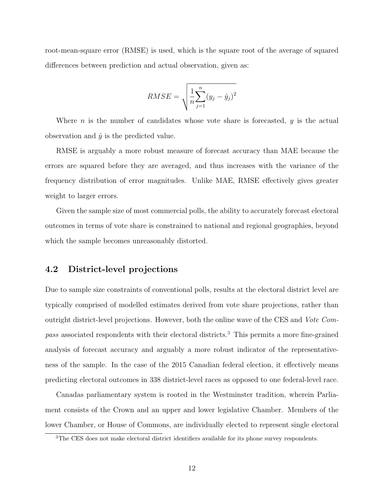root-mean-square error (RMSE) is used, which is the square root of the average of squared differences between prediction and actual observation, given as:

$$
RMSE = \sqrt{\frac{1}{n} \sum_{j=1}^{n} (y_j - \hat{y}_j)^2}
$$

Where *n* is the number of candidates whose vote share is forecasted,  $y$  is the actual observation and  $\hat{y}$  is the predicted value.

RMSE is arguably a more robust measure of forecast accuracy than MAE because the errors are squared before they are averaged, and thus increases with the variance of the frequency distribution of error magnitudes. Unlike MAE, RMSE effectively gives greater weight to larger errors.

Given the sample size of most commercial polls, the ability to accurately forecast electoral outcomes in terms of vote share is constrained to national and regional geographies, beyond which the sample becomes unreasonably distorted.

#### 4.2 District-level projections

Due to sample size constraints of conventional polls, results at the electoral district level are typically comprised of modelled estimates derived from vote share projections, rather than outright district-level projections. However, both the online wave of the CES and Vote Com-pass associated respondents with their electoral districts.<sup>[3](#page-12-0)</sup> This permits a more fine-grained analysis of forecast accuracy and arguably a more robust indicator of the representativeness of the sample. In the case of the 2015 Canadian federal election, it effectively means predicting electoral outcomes in 338 district-level races as opposed to one federal-level race.

Canadas parliamentary system is rooted in the Westminster tradition, wherein Parliament consists of the Crown and an upper and lower legislative Chamber. Members of the lower Chamber, or House of Commons, are individually elected to represent single electoral

<span id="page-12-0"></span><sup>&</sup>lt;sup>3</sup>The CES does not make electoral district identifiers available for its phone survey respondents.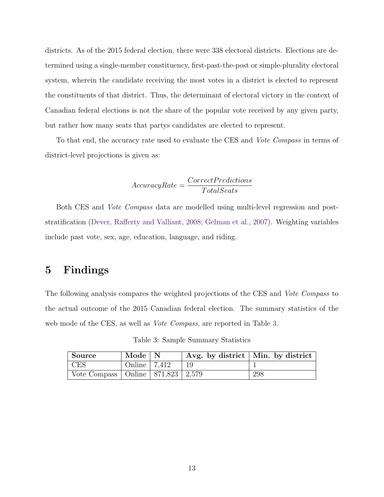districts. As of the 2015 federal election, there were 338 electoral districts. Elections are determined using a single-member constituency, first-past-the-post or simple-plurality electoral system, wherein the candidate receiving the most votes in a district is elected to represent the constituents of that district. Thus, the determinant of electoral victory in the context of Canadian federal elections is not the share of the popular vote received by any given party, but rather how many seats that partys candidates are elected to represent.

To that end, the accuracy rate used to evaluate the CES and *Vote Compass* in terms of district-level projections is given as:

$$
AccuracyRate = \frac{CorrectPredictions}{TotalSeats}
$$

Both CES and *Vote Compass* data are modelled using multi-level regression and poststratification [\(Dever, Rafferty and Valliant,](#page-18-3) [2008;](#page-18-3) [Gelman et al.,](#page-19-4) [2007\)](#page-19-4). Weighting variables include past vote, sex, age, education, language, and riding.

# 5 Findings

The following analysis compares the weighted projections of the CES and Vote Compass to the actual outcome of the 2015 Canadian federal election. The summary statistics of the web mode of the CES, as well as *Vote Compass*, are reported in Table [3.](#page-13-0)

<span id="page-13-0"></span>

| Source                                    | Mode $\vert N \vert$       |            | Avg. by district   Min. by district |
|-------------------------------------------|----------------------------|------------|-------------------------------------|
| CES                                       | Online $\vert 7,412 \vert$ | $\perp$ 19 |                                     |
| Vote Compass   Online   871,823   $2,579$ |                            |            | -298                                |

Table 3: Sample Summary Statistics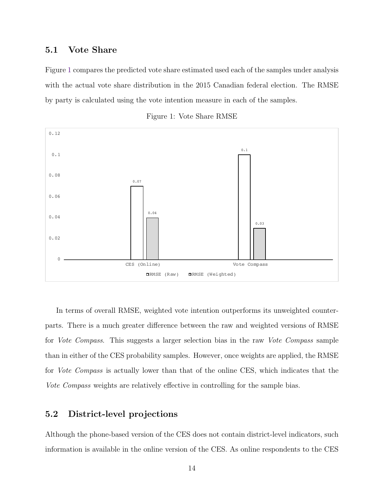#### 5.1 Vote Share

Figure [1](#page-14-0) compares the predicted vote share estimated used each of the samples under analysis with the actual vote share distribution in the 2015 Canadian federal election. The RMSE by party is calculated using the vote intention measure in each of the samples.

<span id="page-14-0"></span>



In terms of overall RMSE, weighted vote intention outperforms its unweighted counterparts. There is a much greater difference between the raw and weighted versions of RMSE for Vote Compass. This suggests a larger selection bias in the raw Vote Compass sample than in either of the CES probability samples. However, once weights are applied, the RMSE for *Vote Compass* is actually lower than that of the online CES, which indicates that the Vote Compass weights are relatively effective in controlling for the sample bias.

#### 5.2 District-level projections

Although the phone-based version of the CES does not contain district-level indicators, such information is available in the online version of the CES. As online respondents to the CES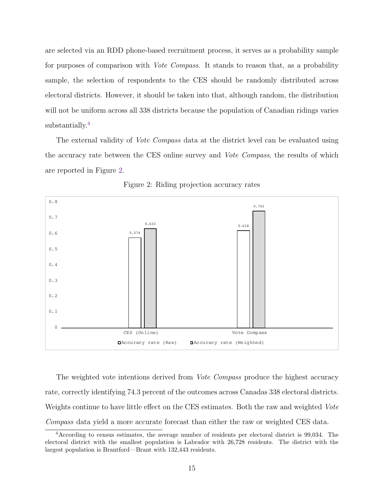are selected via an RDD phone-based recruitment process, it serves as a probability sample for purposes of comparison with *Vote Compass*. It stands to reason that, as a probability sample, the selection of respondents to the CES should be randomly distributed across electoral districts. However, it should be taken into that, although random, the distribution will not be uniform across all 338 districts because the population of Canadian ridings varies substantially.<sup>[4](#page-15-0)</sup>

The external validity of *Vote Compass* data at the district level can be evaluated using the accuracy rate between the CES online survey and Vote Compass, the results of which are reported in Figure [2.](#page-15-1)

<span id="page-15-1"></span>

Figure 2: Riding projection accuracy rates

The weighted vote intentions derived from *Vote Compass* produce the highest accuracy rate, correctly identifying 74.3 percent of the outcomes across Canadas 338 electoral districts. Weights continue to have little effect on the CES estimates. Both the raw and weighted Vote Compass data yield a more accurate forecast than either the raw or weighted CES data.

<span id="page-15-0"></span><sup>4</sup>According to census estimates, the average number of residents per electoral district is 99,034. The electoral district with the smallest population is Labrador with 26,728 residents. The district with the largest population is Brantford—Brant with 132,443 residents.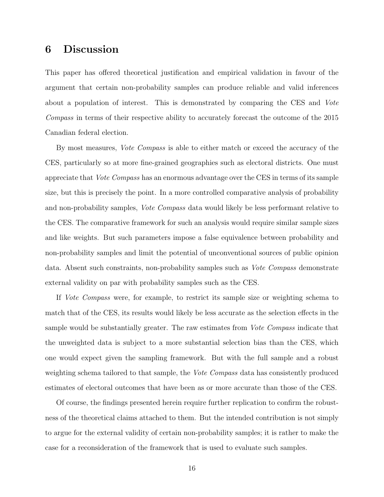## 6 Discussion

This paper has offered theoretical justification and empirical validation in favour of the argument that certain non-probability samples can produce reliable and valid inferences about a population of interest. This is demonstrated by comparing the CES and Vote Compass in terms of their respective ability to accurately forecast the outcome of the 2015 Canadian federal election.

By most measures, *Vote Compass* is able to either match or exceed the accuracy of the CES, particularly so at more fine-grained geographies such as electoral districts. One must appreciate that Vote Compass has an enormous advantage over the CES in terms of its sample size, but this is precisely the point. In a more controlled comparative analysis of probability and non-probability samples, Vote Compass data would likely be less performant relative to the CES. The comparative framework for such an analysis would require similar sample sizes and like weights. But such parameters impose a false equivalence between probability and non-probability samples and limit the potential of unconventional sources of public opinion data. Absent such constraints, non-probability samples such as Vote Compass demonstrate external validity on par with probability samples such as the CES.

If Vote Compass were, for example, to restrict its sample size or weighting schema to match that of the CES, its results would likely be less accurate as the selection effects in the sample would be substantially greater. The raw estimates from *Vote Compass* indicate that the unweighted data is subject to a more substantial selection bias than the CES, which one would expect given the sampling framework. But with the full sample and a robust weighting schema tailored to that sample, the Vote Compass data has consistently produced estimates of electoral outcomes that have been as or more accurate than those of the CES.

Of course, the findings presented herein require further replication to confirm the robustness of the theoretical claims attached to them. But the intended contribution is not simply to argue for the external validity of certain non-probability samples; it is rather to make the case for a reconsideration of the framework that is used to evaluate such samples.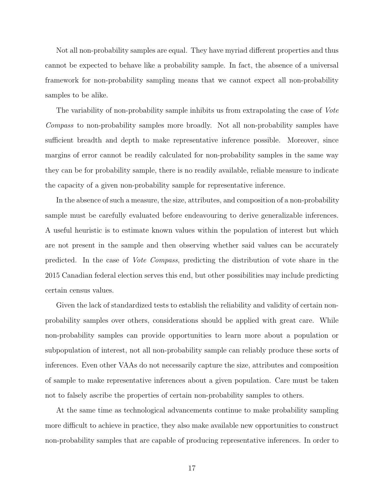Not all non-probability samples are equal. They have myriad different properties and thus cannot be expected to behave like a probability sample. In fact, the absence of a universal framework for non-probability sampling means that we cannot expect all non-probability samples to be alike.

The variability of non-probability sample inhibits us from extrapolating the case of Vote Compass to non-probability samples more broadly. Not all non-probability samples have sufficient breadth and depth to make representative inference possible. Moreover, since margins of error cannot be readily calculated for non-probability samples in the same way they can be for probability sample, there is no readily available, reliable measure to indicate the capacity of a given non-probability sample for representative inference.

In the absence of such a measure, the size, attributes, and composition of a non-probability sample must be carefully evaluated before endeavouring to derive generalizable inferences. A useful heuristic is to estimate known values within the population of interest but which are not present in the sample and then observing whether said values can be accurately predicted. In the case of Vote Compass, predicting the distribution of vote share in the 2015 Canadian federal election serves this end, but other possibilities may include predicting certain census values.

Given the lack of standardized tests to establish the reliability and validity of certain nonprobability samples over others, considerations should be applied with great care. While non-probability samples can provide opportunities to learn more about a population or subpopulation of interest, not all non-probability sample can reliably produce these sorts of inferences. Even other VAAs do not necessarily capture the size, attributes and composition of sample to make representative inferences about a given population. Care must be taken not to falsely ascribe the properties of certain non-probability samples to others.

At the same time as technological advancements continue to make probability sampling more difficult to achieve in practice, they also make available new opportunities to construct non-probability samples that are capable of producing representative inferences. In order to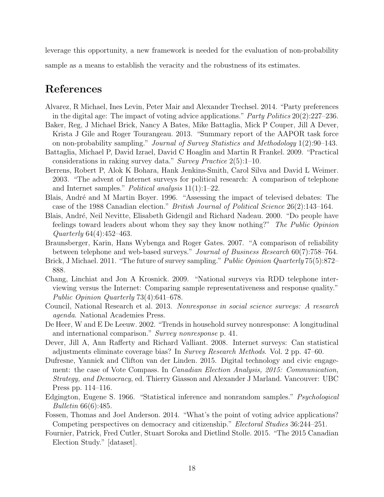leverage this opportunity, a new framework is needed for the evaluation of non-probability

sample as a means to establish the veracity and the robustness of its estimates.

# References

- <span id="page-18-13"></span>Alvarez, R Michael, Ines Levin, Peter Mair and Alexander Trechsel. 2014. "Party preferences in the digital age: The impact of voting advice applications." Party Politics 20(2):227–236.
- <span id="page-18-4"></span>Baker, Reg, J Michael Brick, Nancy A Bates, Mike Battaglia, Mick P Couper, Jill A Dever, Krista J Gile and Roger Tourangeau. 2013. "Summary report of the AAPOR task force on non-probability sampling." Journal of Survey Statistics and Methodology 1(2):90–143.
- <span id="page-18-2"></span>Battaglia, Michael P, David Izrael, David C Hoaglin and Martin R Frankel. 2009. "Practical considerations in raking survey data." Survey Practice 2(5):1–10.
- <span id="page-18-8"></span>Berrens, Robert P, Alok K Bohara, Hank Jenkins-Smith, Carol Silva and David L Weimer. 2003. "The advent of Internet surveys for political research: A comparison of telephone and Internet samples." Political analysis 11(1):1–22.
- <span id="page-18-11"></span>Blais, André and M Martin Boyer. 1996. "Assessing the impact of televised debates: The case of the 1988 Canadian election." British Journal of Political Science 26(2):143–164.
- <span id="page-18-10"></span>Blais, André, Neil Nevitte, Elisabeth Gidengil and Richard Nadeau. 2000. "Do people have feelings toward leaders about whom they say they know nothing?" The Public Opinion Quarterly 64(4):452–463.
- <span id="page-18-7"></span>Braunsberger, Karin, Hans Wybenga and Roger Gates. 2007. "A comparison of reliability between telephone and web-based surveys." Journal of Business Research 60(7):758–764.
- <span id="page-18-5"></span>Brick, J Michael. 2011. "The future of survey sampling." *Public Opinion Quarterly* 75(5):872– 888.
- <span id="page-18-9"></span>Chang, Linchiat and Jon A Krosnick. 2009. "National surveys via RDD telephone interviewing versus the Internet: Comparing sample representativeness and response quality." Public Opinion Quarterly 73(4):641–678.
- <span id="page-18-1"></span>Council, National Research et al. 2013. Nonresponse in social science surveys: A research agenda. National Academies Press.
- <span id="page-18-0"></span>De Heer, W and E De Leeuw. 2002. "Trends in household survey nonresponse: A longitudinal and international comparison." Survey nonresponse p. 41.
- <span id="page-18-3"></span>Dever, Jill A, Ann Rafferty and Richard Valliant. 2008. Internet surveys: Can statistical adjustments eliminate coverage bias? In Survey Research Methods. Vol. 2 pp. 47–60.
- <span id="page-18-15"></span>Dufresne, Yannick and Clifton van der Linden. 2015. Digital technology and civic engagement: the case of Vote Compass. In Canadian Election Analysis, 2015: Communication, Strategy, and Democracy, ed. Thierry Giasson and Alexander J Marland. Vancouver: UBC Press pp. 114–116.
- <span id="page-18-6"></span>Edgington, Eugene S. 1966. "Statistical inference and nonrandom samples." Psychological Bulletin 66(6):485.
- <span id="page-18-14"></span>Fossen, Thomas and Joel Anderson. 2014. "What's the point of voting advice applications? Competing perspectives on democracy and citizenship." Electoral Studies 36:244–251.
- <span id="page-18-12"></span>Fournier, Patrick, Fred Cutler, Stuart Soroka and Dietlind Stolle. 2015. "The 2015 Canadian Election Study." [dataset].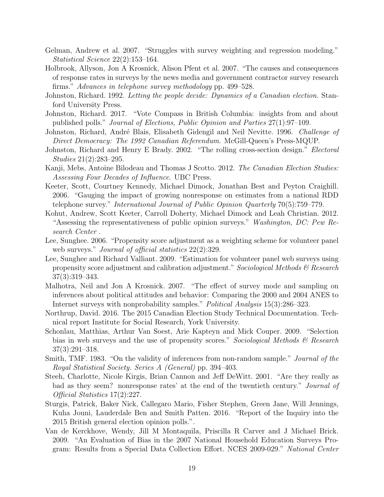- <span id="page-19-4"></span>Gelman, Andrew et al. 2007. "Struggles with survey weighting and regression modeling." Statistical Science 22(2):153–164.
- <span id="page-19-2"></span>Holbrook, Allyson, Jon A Krosnick, Alison Pfent et al. 2007. "The causes and consequences of response rates in surveys by the news media and government contractor survey research firms." Advances in telephone survey methodology pp. 499–528.
- <span id="page-19-13"></span>Johnston, Richard. 1992. Letting the people decide: Dynamics of a Canadian election. Stanford University Press.
- <span id="page-19-17"></span>Johnston, Richard. 2017. "Vote Compass in British Columbia: insights from and about published polls." Journal of Elections, Public Opinion and Parties 27(1):97–109.
- <span id="page-19-12"></span>Johnston, Richard, André Blais, Elisabeth Gidengil and Neil Nevitte. 1996. Challenge of Direct Democracy: The 1992 Canadian Referendum. McGill-Queen's Press-MQUP.
- <span id="page-19-14"></span>Johnston, Richard and Henry E Brady. 2002. "The rolling cross-section design." *Electoral* Studies 21(2):283–295.
- <span id="page-19-15"></span>Kanji, Mebs, Antoine Bilodeau and Thomas J Scotto. 2012. The Canadian Election Studies: Assessing Four Decades of Influence. UBC Press.
- <span id="page-19-0"></span>Keeter, Scott, Courtney Kennedy, Michael Dimock, Jonathan Best and Peyton Craighill. 2006. "Gauging the impact of growing nonresponse on estimates from a national RDD telephone survey." International Journal of Public Opinion Quarterly 70(5):759–779.
- <span id="page-19-1"></span>Kohut, Andrew, Scott Keeter, Carroll Doherty, Michael Dimock and Leah Christian. 2012. "Assessing the representativeness of public opinion surveys." Washington, DC: Pew Research Center .
- <span id="page-19-5"></span>Lee, Sunghee. 2006. "Propensity score adjustment as a weighting scheme for volunteer panel web surveys." *Journal of official statistics*  $22(2):329$ .
- <span id="page-19-6"></span>Lee, Sunghee and Richard Valliant. 2009. "Estimation for volunteer panel web surveys using propensity score adjustment and calibration adjustment." Sociological Methods  $\mathscr B$  Research 37(3):319–343.
- <span id="page-19-9"></span>Malhotra, Neil and Jon A Krosnick. 2007. "The effect of survey mode and sampling on inferences about political attitudes and behavior: Comparing the 2000 and 2004 ANES to Internet surveys with nonprobability samples." Political Analysis 15(3):286–323.
- <span id="page-19-16"></span>Northrup, David. 2016. The 2015 Canadian Election Study Technical Documentation. Technical report Institute for Social Research, York University.
- <span id="page-19-7"></span>Schonlau, Matthias, Arthur Van Soest, Arie Kapteyn and Mick Couper. 2009. "Selection bias in web surveys and the use of propensity scores." Sociological Methods  $\mathcal C$  Research 37(3):291–318.
- <span id="page-19-8"></span>Smith, TMF. 1983. "On the validity of inferences from non-random sample." *Journal of the* Royal Statistical Society. Series A (General) pp. 394–403.
- <span id="page-19-3"></span>Steeh, Charlotte, Nicole Kirgis, Brian Cannon and Jeff DeWitt. 2001. "Are they really as bad as they seem? nonresponse rates' at the end of the twentieth century." Journal of Official Statistics 17(2):227.
- <span id="page-19-11"></span>Sturgis, Patrick, Baker Nick, Callegaro Mario, Fisher Stephen, Green Jane, Will Jennings, Kuha Jouni, Lauderdale Ben and Smith Patten. 2016. "Report of the Inquiry into the 2015 British general election opinion polls.".
- <span id="page-19-10"></span>Van de Kerckhove, Wendy, Jill M Montaquila, Priscilla R Carver and J Michael Brick. 2009. "An Evaluation of Bias in the 2007 National Household Education Surveys Program: Results from a Special Data Collection Effort. NCES 2009-029." National Center